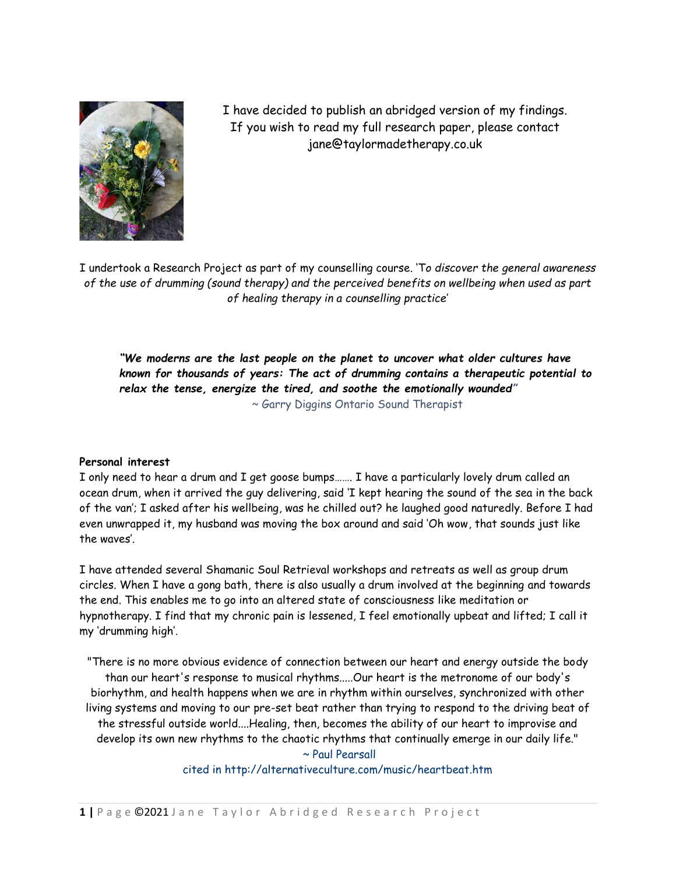

I have decided to publish an abridged version of my findings. If you wish to read my full research paper, please contact jane@taylormadetherapy.co.uk

I undertook a Research Project as part of my counselling course. 'T*o discover the general awareness of the use of drumming (sound therapy) and the perceived benefits on wellbeing when used as part of healing therapy in a counselling practice*'

*"We moderns are the last people on the planet to uncover what older cultures have known for thousands of years: The act of drumming contains a therapeutic potential to relax the tense, energize the tired, and soothe the emotionally wounded"*  ~ Garry Diggins Ontario Sound Therapist

### **Personal interest**

I only need to hear a drum and I get goose bumps……. I have a particularly lovely drum called an ocean drum, when it arrived the guy delivering, said 'I kept hearing the sound of the sea in the back of the van'; I asked after his wellbeing, was he chilled out? he laughed good naturedly. Before I had even unwrapped it, my husband was moving the box around and said 'Oh wow, that sounds just like the waves'.

I have attended several Shamanic Soul Retrieval workshops and retreats as well as group drum circles. When I have a gong bath, there is also usually a drum involved at the beginning and towards the end. This enables me to go into an altered state of consciousness like meditation or hypnotherapy. I find that my chronic pain is lessened, I feel emotionally upbeat and lifted; I call it my 'drumming high'.

"There is no more obvious evidence of connection between our heart and energy outside the body than our heart's response to musical rhythms.....Our heart is the metronome of our body's biorhythm, and health happens when we are in rhythm within ourselves, synchronized with other living systems and moving to our pre-set beat rather than trying to respond to the driving beat of the stressful outside world....Healing, then, becomes the ability of our heart to improvise and develop its own new rhythms to the chaotic rhythms that continually emerge in our daily life."

~ Paul Pearsall

cited in http://alternativeculture.com/music/heartbeat.htm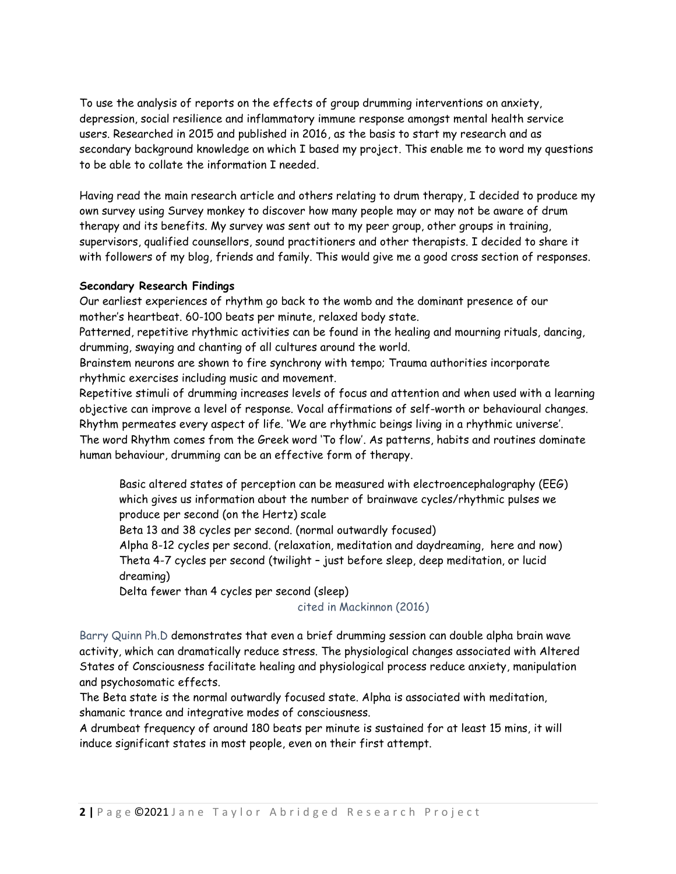To use the analysis of reports on the effects of group drumming interventions on anxiety, depression, social resilience and inflammatory immune response amongst mental health service users. Researched in 2015 and published in 2016, as the basis to start my research and as secondary background knowledge on which I based my project. This enable me to word my questions to be able to collate the information I needed.

Having read the main research article and others relating to drum therapy, I decided to produce my own survey using Survey monkey to discover how many people may or may not be aware of drum therapy and its benefits. My survey was sent out to my peer group, other groups in training, supervisors, qualified counsellors, sound practitioners and other therapists. I decided to share it with followers of my blog, friends and family. This would give me a good cross section of responses.

## **Secondary Research Findings**

Our earliest experiences of rhythm go back to the womb and the dominant presence of our mother's heartbeat. 60-100 beats per minute, relaxed body state.

Patterned, repetitive rhythmic activities can be found in the healing and mourning rituals, dancing, drumming, swaying and chanting of all cultures around the world.

Brainstem neurons are shown to fire synchrony with tempo; Trauma authorities incorporate rhythmic exercises including music and movement.

Repetitive stimuli of drumming increases levels of focus and attention and when used with a learning objective can improve a level of response. Vocal affirmations of self-worth or behavioural changes. Rhythm permeates every aspect of life. 'We are rhythmic beings living in a rhythmic universe'. The word Rhythm comes from the Greek word 'To flow'. As patterns, habits and routines dominate human behaviour, drumming can be an effective form of therapy.

Basic altered states of perception can be measured with electroencephalography (EEG) which gives us information about the number of brainwave cycles/rhythmic pulses we produce per second (on the Hertz) scale

Beta 13 and 38 cycles per second. (normal outwardly focused)

Alpha 8-12 cycles per second. (relaxation, meditation and daydreaming, here and now) Theta 4-7 cycles per second (twilight – just before sleep, deep meditation, or lucid dreaming)

Delta fewer than 4 cycles per second (sleep)

### cited in Mackinnon (2016)

Barry Quinn Ph.D demonstrates that even a brief drumming session can double alpha brain wave activity, which can dramatically reduce stress. The physiological changes associated with Altered States of Consciousness facilitate healing and physiological process reduce anxiety, manipulation and psychosomatic effects.

The Beta state is the normal outwardly focused state. Alpha is associated with meditation, shamanic trance and integrative modes of consciousness.

A drumbeat frequency of around 180 beats per minute is sustained for at least 15 mins, it will induce significant states in most people, even on their first attempt.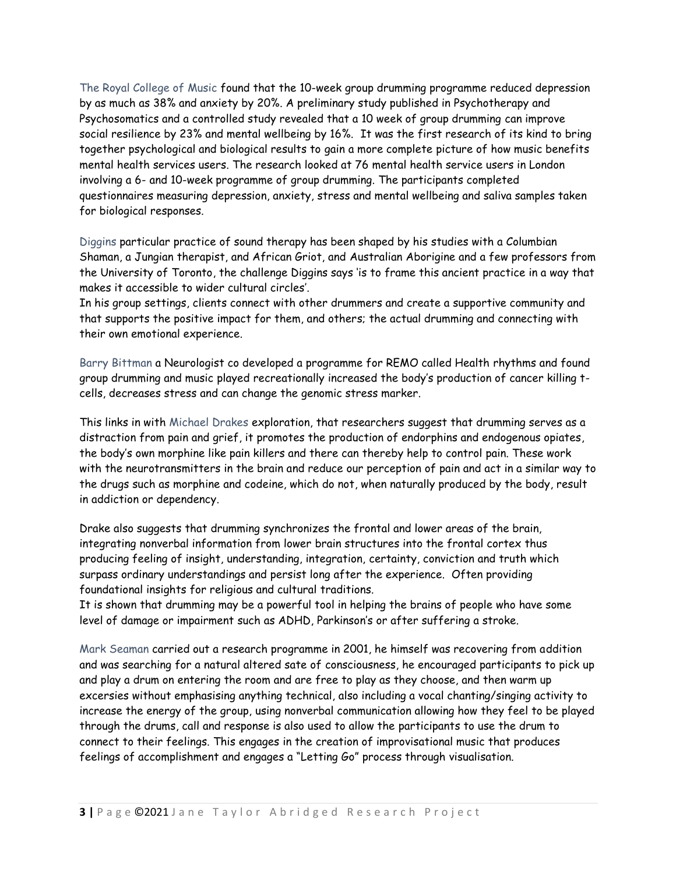The Royal College of Music found that the 10-week group drumming programme reduced depression by as much as 38% and anxiety by 20%. A preliminary study published in Psychotherapy and Psychosomatics and a controlled study revealed that a 10 week of group drumming can improve social resilience by 23% and mental wellbeing by 16%. It was the first research of its kind to bring together psychological and biological results to gain a more complete picture of how music benefits mental health services users. The research looked at 76 mental health service users in London involving a 6- and 10-week programme of group drumming. The participants completed questionnaires measuring depression, anxiety, stress and mental wellbeing and saliva samples taken for biological responses.

Diggins particular practice of sound therapy has been shaped by his studies with a Columbian Shaman, a Jungian therapist, and African Griot, and Australian Aborigine and a few professors from the University of Toronto, the challenge Diggins says 'is to frame this ancient practice in a way that makes it accessible to wider cultural circles'.

In his group settings, clients connect with other drummers and create a supportive community and that supports the positive impact for them, and others; the actual drumming and connecting with their own emotional experience.

Barry Bittman a Neurologist co developed a programme for REMO called Health rhythms and found group drumming and music played recreationally increased the body's production of cancer killing tcells, decreases stress and can change the genomic stress marker.

This links in with Michael Drakes exploration, that researchers suggest that drumming serves as a distraction from pain and grief, it promotes the production of endorphins and endogenous opiates, the body's own morphine like pain killers and there can thereby help to control pain. These work with the neurotransmitters in the brain and reduce our perception of pain and act in a similar way to the drugs such as morphine and codeine, which do not, when naturally produced by the body, result in addiction or dependency.

Drake also suggests that drumming synchronizes the frontal and lower areas of the brain, integrating nonverbal information from lower brain structures into the frontal cortex thus producing feeling of insight, understanding, integration, certainty, conviction and truth which surpass ordinary understandings and persist long after the experience. Often providing foundational insights for religious and cultural traditions.

It is shown that drumming may be a powerful tool in helping the brains of people who have some level of damage or impairment such as ADHD, Parkinson's or after suffering a stroke.

Mark Seaman carried out a research programme in 2001, he himself was recovering from addition and was searching for a natural altered sate of consciousness, he encouraged participants to pick up and play a drum on entering the room and are free to play as they choose, and then warm up excersies without emphasising anything technical, also including a vocal chanting/singing activity to increase the energy of the group, using nonverbal communication allowing how they feel to be played through the drums, call and response is also used to allow the participants to use the drum to connect to their feelings. This engages in the creation of improvisational music that produces feelings of accomplishment and engages a "Letting Go" process through visualisation.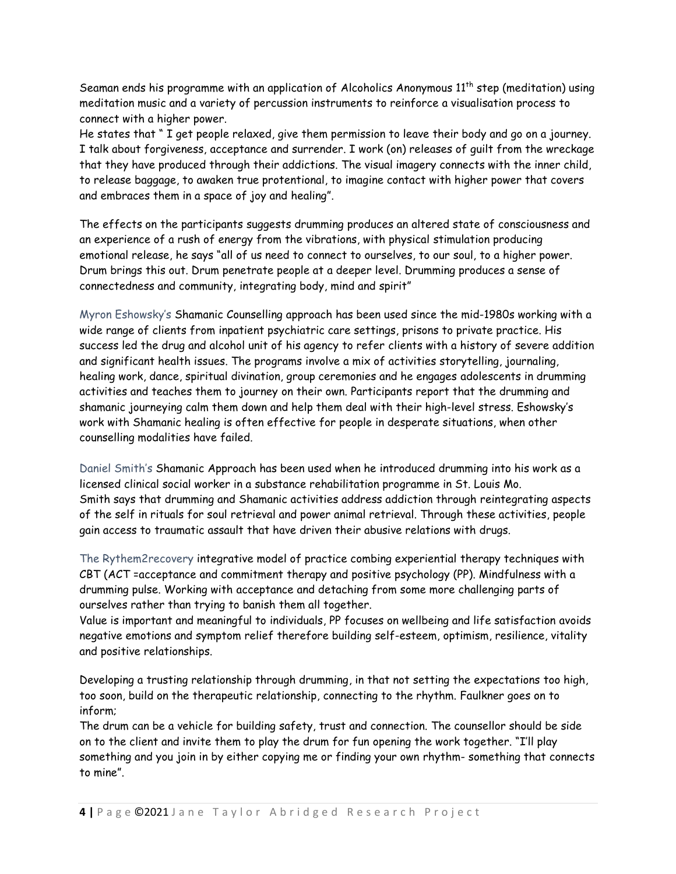Seaman ends his programme with an application of Alcoholics Anonymous  $11^{th}$  step (meditation) using meditation music and a variety of percussion instruments to reinforce a visualisation process to connect with a higher power.

He states that " I get people relaxed, give them permission to leave their body and go on a journey. I talk about forgiveness, acceptance and surrender. I work (on) releases of guilt from the wreckage that they have produced through their addictions. The visual imagery connects with the inner child, to release baggage, to awaken true protentional, to imagine contact with higher power that covers and embraces them in a space of joy and healing".

The effects on the participants suggests drumming produces an altered state of consciousness and an experience of a rush of energy from the vibrations, with physical stimulation producing emotional release, he says "all of us need to connect to ourselves, to our soul, to a higher power. Drum brings this out. Drum penetrate people at a deeper level. Drumming produces a sense of connectedness and community, integrating body, mind and spirit"

Myron Eshowsky's Shamanic Counselling approach has been used since the mid-1980s working with a wide range of clients from inpatient psychiatric care settings, prisons to private practice. His success led the drug and alcohol unit of his agency to refer clients with a history of severe addition and significant health issues. The programs involve a mix of activities storytelling, journaling, healing work, dance, spiritual divination, group ceremonies and he engages adolescents in drumming activities and teaches them to journey on their own. Participants report that the drumming and shamanic journeying calm them down and help them deal with their high-level stress. Eshowsky's work with Shamanic healing is often effective for people in desperate situations, when other counselling modalities have failed.

Daniel Smith's Shamanic Approach has been used when he introduced drumming into his work as a licensed clinical social worker in a substance rehabilitation programme in St. Louis Mo. Smith says that drumming and Shamanic activities address addiction through reintegrating aspects of the self in rituals for soul retrieval and power animal retrieval. Through these activities, people gain access to traumatic assault that have driven their abusive relations with drugs.

The Rythem2recovery integrative model of practice combing experiential therapy techniques with CBT (ACT =acceptance and commitment therapy and positive psychology (PP). Mindfulness with a drumming pulse. Working with acceptance and detaching from some more challenging parts of ourselves rather than trying to banish them all together.

Value is important and meaningful to individuals, PP focuses on wellbeing and life satisfaction avoids negative emotions and symptom relief therefore building self-esteem, optimism, resilience, vitality and positive relationships.

Developing a trusting relationship through drumming, in that not setting the expectations too high, too soon, build on the therapeutic relationship, connecting to the rhythm. Faulkner goes on to inform;

The drum can be a vehicle for building safety, trust and connection. The counsellor should be side on to the client and invite them to play the drum for fun opening the work together. "I'll play something and you join in by either copying me or finding your own rhythm- something that connects to mine".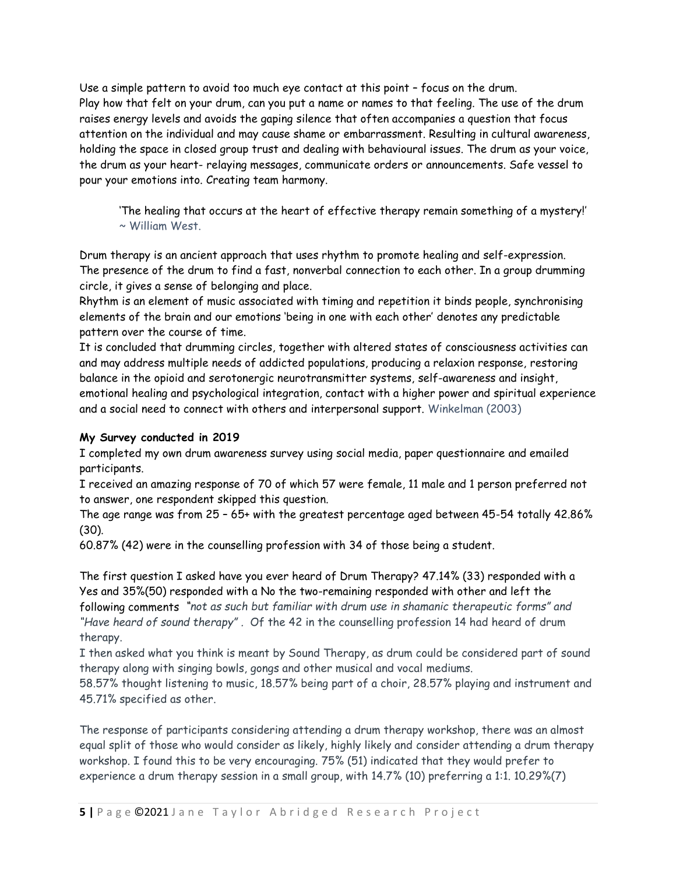Use a simple pattern to avoid too much eye contact at this point – focus on the drum. Play how that felt on your drum, can you put a name or names to that feeling. The use of the drum raises energy levels and avoids the gaping silence that often accompanies a question that focus attention on the individual and may cause shame or embarrassment. Resulting in cultural awareness, holding the space in closed group trust and dealing with behavioural issues. The drum as your voice, the drum as your heart- relaying messages, communicate orders or announcements. Safe vessel to pour your emotions into. Creating team harmony.

'The healing that occurs at the heart of effective therapy remain something of a mystery!' ~ William West.

Drum therapy is an ancient approach that uses rhythm to promote healing and self-expression. The presence of the drum to find a fast, nonverbal connection to each other. In a group drumming circle, it gives a sense of belonging and place.

Rhythm is an element of music associated with timing and repetition it binds people, synchronising elements of the brain and our emotions 'being in one with each other' denotes any predictable pattern over the course of time.

It is concluded that drumming circles, together with altered states of consciousness activities can and may address multiple needs of addicted populations, producing a relaxion response, restoring balance in the opioid and serotonergic neurotransmitter systems, self-awareness and insight, emotional healing and psychological integration, contact with a higher power and spiritual experience and a social need to connect with others and interpersonal support. Winkelman (2003)

# **My Survey conducted in 2019**

I completed my own drum awareness survey using social media, paper questionnaire and emailed participants.

I received an amazing response of 70 of which 57 were female, 11 male and 1 person preferred not to answer, one respondent skipped this question.

The age range was from 25 – 65+ with the greatest percentage aged between 45-54 totally 42.86% (30).

60.87% (42) were in the counselling profession with 34 of those being a student.

The first question I asked have you ever heard of Drum Therapy? 47.14% (33) responded with a Yes and 35%(50) responded with a No the two-remaining responded with other and left the following comments *"not as such but familiar with drum use in shamanic therapeutic forms" and "Have heard of sound therapy" .* Of the 42 in the counselling profession 14 had heard of drum therapy.

I then asked what you think is meant by Sound Therapy, as drum could be considered part of sound therapy along with singing bowls, gongs and other musical and vocal mediums.

58.57% thought listening to music, 18.57% being part of a choir, 28.57% playing and instrument and 45.71% specified as other.

The response of participants considering attending a drum therapy workshop, there was an almost equal split of those who would consider as likely, highly likely and consider attending a drum therapy workshop. I found this to be very encouraging. 75% (51) indicated that they would prefer to experience a drum therapy session in a small group, with 14.7% (10) preferring a 1:1. 10.29%(7)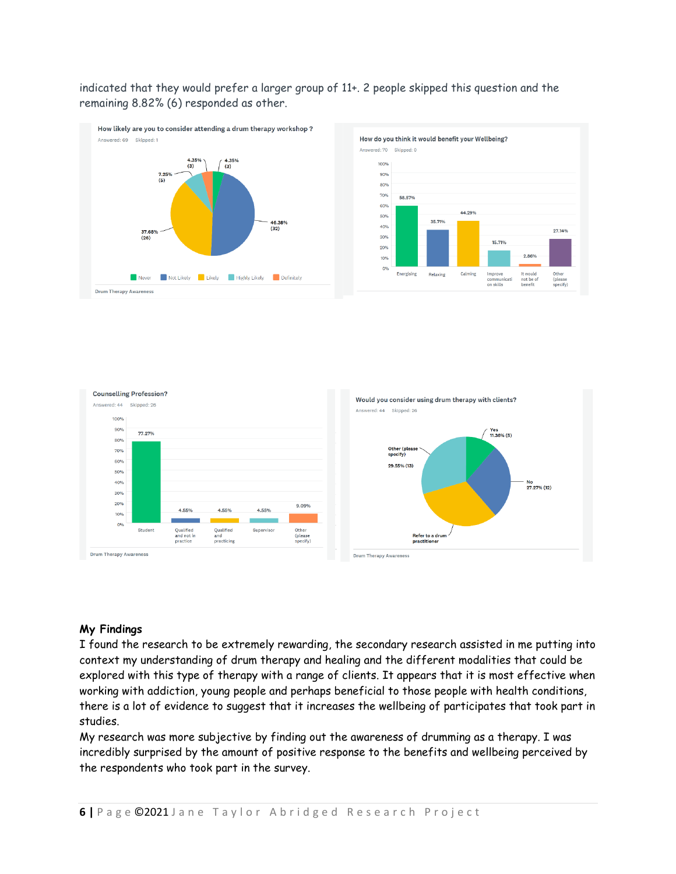indicated that they would prefer a larger group of 11+. 2 people skipped this question and the remaining 8.82% (6) responded as other.







### **My Findings**

I found the research to be extremely rewarding, the secondary research assisted in me putting into context my understanding of drum therapy and healing and the different modalities that could be explored with this type of therapy with a range of clients. It appears that it is most effective when working with addiction, young people and perhaps beneficial to those people with health conditions, there is a lot of evidence to suggest that it increases the wellbeing of participates that took part in studies.

My research was more subjective by finding out the awareness of drumming as a therapy. I was incredibly surprised by the amount of positive response to the benefits and wellbeing perceived by the respondents who took part in the survey.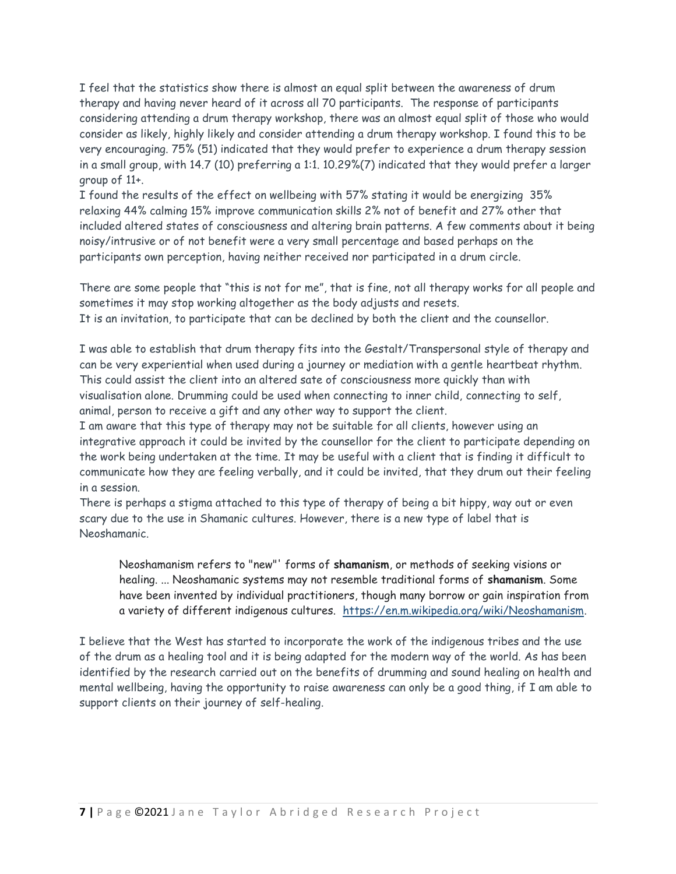I feel that the statistics show there is almost an equal split between the awareness of drum therapy and having never heard of it across all 70 participants. The response of participants considering attending a drum therapy workshop, there was an almost equal split of those who would consider as likely, highly likely and consider attending a drum therapy workshop. I found this to be very encouraging. 75% (51) indicated that they would prefer to experience a drum therapy session in a small group, with 14.7 (10) preferring a 1:1. 10.29%(7) indicated that they would prefer a larger group of 11+.

I found the results of the effect on wellbeing with 57% stating it would be energizing 35% relaxing 44% calming 15% improve communication skills 2% not of benefit and 27% other that included altered states of consciousness and altering brain patterns. A few comments about it being noisy/intrusive or of not benefit were a very small percentage and based perhaps on the participants own perception, having neither received nor participated in a drum circle.

There are some people that "this is not for me", that is fine, not all therapy works for all people and sometimes it may stop working altogether as the body adjusts and resets. It is an invitation, to participate that can be declined by both the client and the counsellor.

I was able to establish that drum therapy fits into the Gestalt/Transpersonal style of therapy and can be very experiential when used during a journey or mediation with a gentle heartbeat rhythm. This could assist the client into an altered sate of consciousness more quickly than with visualisation alone. Drumming could be used when connecting to inner child, connecting to self, animal, person to receive a gift and any other way to support the client.

I am aware that this type of therapy may not be suitable for all clients, however using an integrative approach it could be invited by the counsellor for the client to participate depending on the work being undertaken at the time. It may be useful with a client that is finding it difficult to communicate how they are feeling verbally, and it could be invited, that they drum out their feeling in a session.

There is perhaps a stigma attached to this type of therapy of being a bit hippy, way out or even scary due to the use in Shamanic cultures. However, there is a new type of label that is Neoshamanic.

Neoshamanism refers to "new"' forms of **shamanism**, or methods of seeking visions or healing. ... Neoshamanic systems may not resemble traditional forms of **shamanism**. Some have been invented by individual practitioners, though many borrow or gain inspiration from a variety of different indigenous cultures. [https://en.m.wikipedia.org/wiki/Neoshamanism.](https://en.m.wikipedia.org/wiki/Neoshamanism)

I believe that the West has started to incorporate the work of the indigenous tribes and the use of the drum as a healing tool and it is being adapted for the modern way of the world. As has been identified by the research carried out on the benefits of drumming and sound healing on health and mental wellbeing, having the opportunity to raise awareness can only be a good thing, if I am able to support clients on their journey of self-healing.